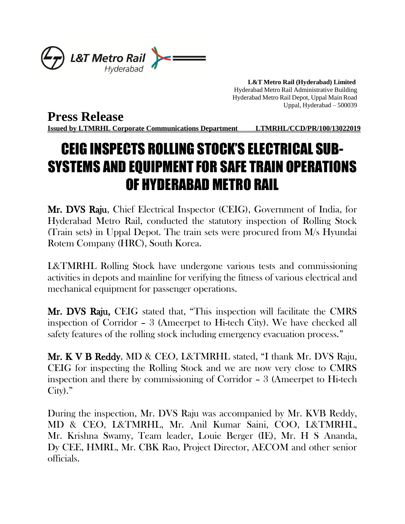

 **L&T Metro Rail (Hyderabad) Limited** Hyderabad Metro Rail Administrative Building Hyderabad Metro Rail Depot, Uppal Main Road Uppal, Hyderabad – 500039

**Press Release**

**Issued by LTMRHL Corporate Communications Department LTMRHL/CCD/PR/100/13022019**

## CEIG INSPECTS ROLLING STOCK'S ELECTRICAL SUB-SYSTEMS AND EQUIPMENT FOR SAFE TRAIN OPERATIONS OF HYDERABAD METRO RAIL

Mr. DVS Raju, Chief Electrical Inspector (CEIG), Government of India, for Hyderabad Metro Rail, conducted the statutory inspection of Rolling Stock (Train sets) in Uppal Depot. The train sets were procured from M/s Hyundai Rotem Company (HRC), South Korea.

L&TMRHL Rolling Stock have undergone various tests and commissioning activities in depots and mainline for verifying the fitness of various electrical and mechanical equipment for passenger operations.

Mr. DVS Raju, CEIG stated that, "This inspection will facilitate the CMRS inspection of Corridor – 3 (Ameerpet to Hi-tech City). We have checked all safety features of the rolling stock including emergency evacuation process."

Mr. K V B Reddy, MD & CEO, L&TMRHL stated, "I thank Mr. DVS Raju, CEIG for inspecting the Rolling Stock and we are now very close to CMRS inspection and there by commissioning of Corridor – 3 (Ameerpet to Hi-tech City)."

During the inspection, Mr. DVS Raju was accompanied by Mr. KVB Reddy, MD & CEO, L&TMRHL, Mr. Anil Kumar Saini, COO, L&TMRHL, Mr. Krishna Swamy, Team leader, Louie Berger (IE), Mr. H S Ananda, Dy CEE, HMRL, Mr. CBK Rao, Project Director, AECOM and other senior officials.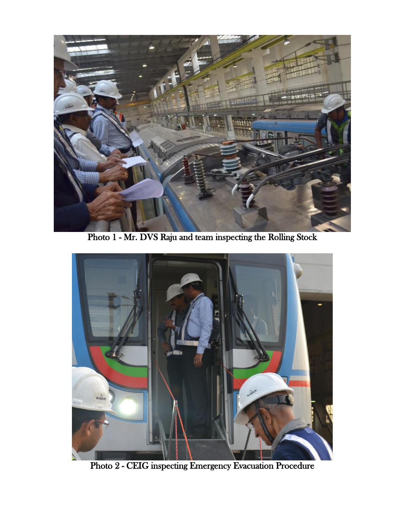

Photo 1 - Mr. DVS Raju and team inspecting the Rolling Stock



Photo 2 - CEIG inspecting Emergency Evacuation Procedure